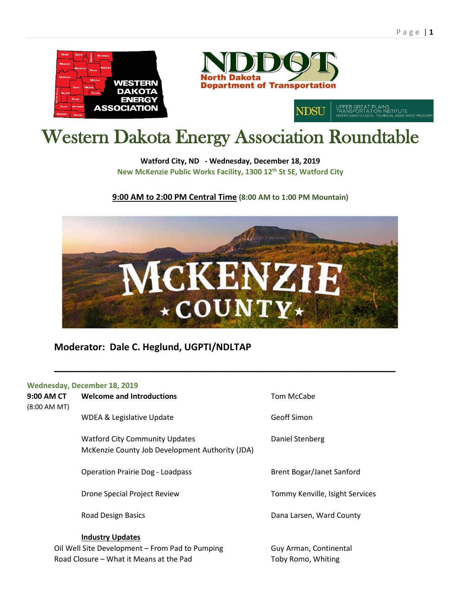



NDSU

# Western Dakota Energy Association Roundtable

**Watford City, ND - Wednesday, December 18, 2019 New McKenzie Public Works Facility, 1300 12th St SE, Watford City**

**9:00 AM to 2:00 PM Central Time (8:00 AM to 1:00 PM Mountain)**



**\_\_\_\_\_\_\_\_\_\_\_\_\_\_\_\_\_\_\_\_\_\_\_\_\_\_\_\_\_\_\_\_\_\_\_\_\_\_\_\_\_\_\_\_\_\_\_\_\_\_\_\_\_\_\_\_\_\_\_\_\_\_\_\_\_**

### **Moderator: Dale C. Heglund, UGPTI/NDLTAP**

#### **Wednesday, December 18, 2019**

**9:00 AM CT Welcome and Introductions** Tom McCabe (8:00 AM MT)

WDEA & Legislative Update Geoff Simon

Watford City Community Updates **Daniel Stenberg** McKenzie County Job Development Authority (JDA)

Operation Prairie Dog - Loadpass Brent Bogar/Janet Sanford

#### **Industry Updates**

Oil Well Site Development – From Pad to Pumping Guy Arman, Continental Road Closure – What it Means at the Pad Toby Romo, Whiting

Drone Special Project Review Tommy Kenville, Isight Services

Road Design Basics Dana Larsen, Ward County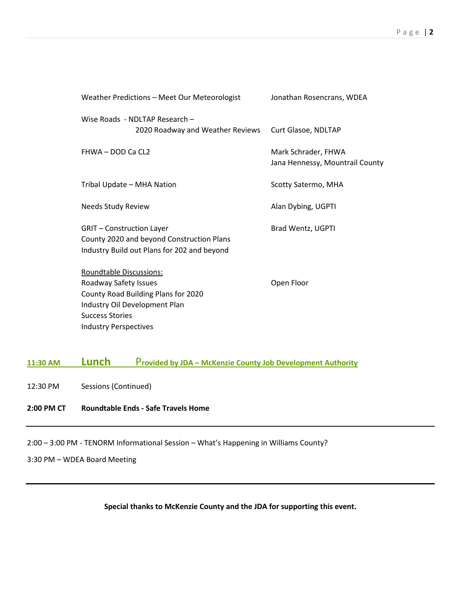| Weather Predictions - Meet Our Meteorologist                                                                                    | Jonathan Rosencrans, WDEA                              |
|---------------------------------------------------------------------------------------------------------------------------------|--------------------------------------------------------|
| Wise Roads - NDLTAP Research -<br>2020 Roadway and Weather Reviews                                                              | Curt Glasoe, NDLTAP                                    |
| FHWA - DOD Ca CL2                                                                                                               | Mark Schrader, FHWA<br>Jana Hennessy, Mountrail County |
| Tribal Update - MHA Nation                                                                                                      | Scotty Satermo, MHA                                    |
| <b>Needs Study Review</b>                                                                                                       | Alan Dybing, UGPTI                                     |
| <b>GRIT - Construction Layer</b><br>County 2020 and beyond Construction Plans<br>Industry Build out Plans for 202 and beyond    | Brad Wentz, UGPTI                                      |
| <b>Roundtable Discussions:</b><br>Roadway Safety Issues<br>County Road Building Plans for 2020<br>Industry Oil Development Plan | Open Floor                                             |
| <b>Success Stories</b>                                                                                                          |                                                        |

### **11:30 AM Lunch** P**rovided by JDA – McKenzie County Job Development Authority**

12:30 PM Sessions (Continued)

#### **2:00 PM CT Roundtable Ends - Safe Travels Home**

Industry Perspectives

2:00 – 3:00 PM - TENORM Informational Session – What's Happening in Williams County?

3:30 PM – WDEA Board Meeting

**Special thanks to McKenzie County and the JDA for supporting this event.**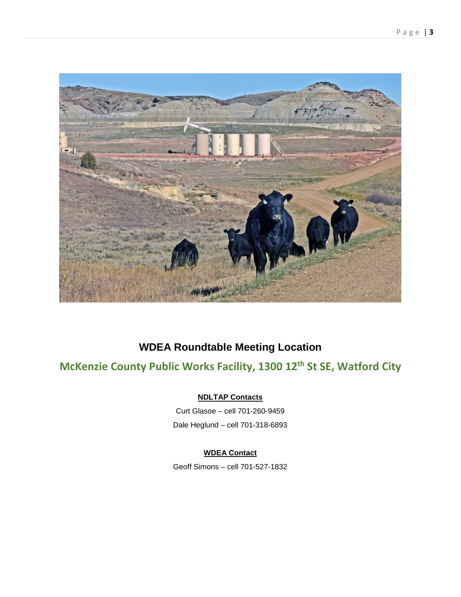

### **WDEA Roundtable Meeting Location**

### **McKenzie County Public Works Facility, 1300 12th St SE, Watford City**

### **NDLTAP Contacts**

Curt Glasoe – cell 701-260-9459 Dale Heglund – cell 701-318-6893

### **WDEA Contact**

Geoff Simons – cell 701-527-1832